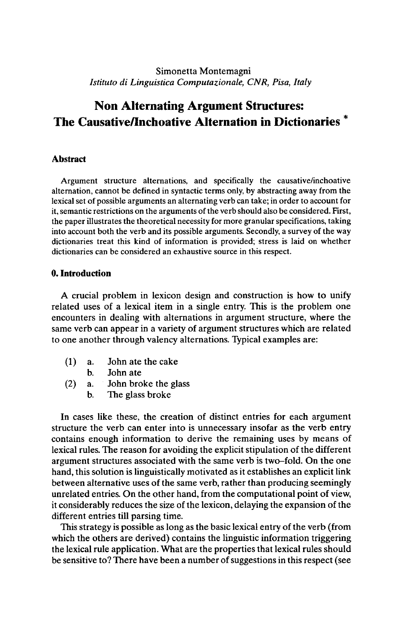# Simonetta Montemagni *Istituto di Linguistica Computazionale, CNR, Pisa, Italy*

# **Non Alternating Argument Structures: The Causative/Inchoative Alternation in Dictionaries**

## **Abstract**

Argument structure alternations, and specifically the causative/inchoative alternation, cannot be defined in syntactic terms only, by abstracting away from the lexical set of possible arguments an alternating verb can take; in order to account for it, semantic restrictions on the arguments of the verb should also be considered. First, the paper illustrates the theoretical necessity for more granular specifications, taking into account both the verb and its possible arguments. Secondly, a survey of the way dictionaries treat this kind of information is provided; stress is laid on whether dictionaries can be considered an exhaustive source in this respect.

### **0. Introduction**

A crucial problem in lexicon design and construction is how to unify related uses of a lexical item in a single entry. This is the problem one encounters in dealing with alternations in argument structure, where the same verb can appear in a variety of argument structures which are related to one another through valency alternations. Typical examples are:

- (1) a. John ate the cake
	- b. John ate
- (2) a. John broke the glass
	- b. The glass broke

In cases like these, the creation of distinct entries for each argument structure the verb can enter into is unnecessary insofar as the verb entry contains enough information to derive the remaining uses by means of lexical rules. The reason for avoiding the explicit stipulation of the different argument structures associated with the same verb is two-fold. On the one hand, this solution is linguistically motivated as it establishes an explicit link between alternative uses of the same verb, rather than producing seemingly unrelated entries. On the other hand, from the computational point of view, it considerably reduces the size of the lexicon, delaying the expansion of the different entries till parsing time.

This strategy is possible as long as the basic lexical entry of the verb (from which the others are derived) contains the linguistic information triggering the lexical rule application. What are the properties that lexical rules should be sensitive to? There have been a number of suggestions in this respect (see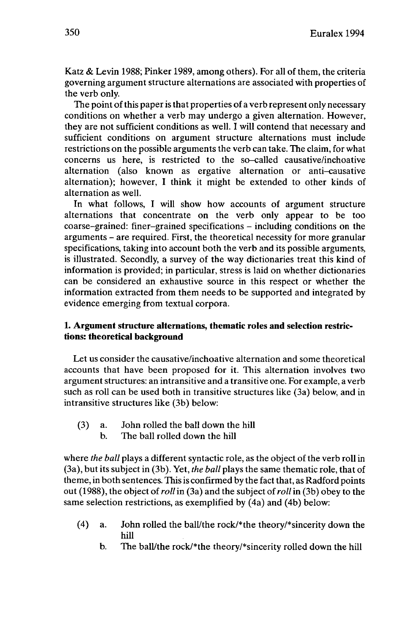Katz & Levin 1988; Pinker 1989, among others). For all of them, the criteria governing argument structure alternations are associated with properties of the verb only.

The point of this paper is that properties of a verb represent only necessary conditions on whether a verb may undergo a given alternation. However, they are not sufficient conditions as well. I will contend that necessary and sufficient conditions on argument structure alternations must include restrictions on the possible arguments the verb can take. The claim, for what concerns us here, is restricted to the so-called causative/inchoative alternation (also known as ergative alternation or anti-causative alternation); however, I think it might be extended to other kinds of alternation as well.

In what follows, I will show how accounts of argument structure alternations that concentrate on the verb only appear to be too coarse-grained: finer-grained specifications - including conditions on the arguments - are required. First, the theoretical necessity for more granular specifications, taking into account both the verb and its possible arguments, is illustrated. Secondly, a survey of the way dictionaries treat this kind of information is provided; in particular, stress is laid on whether dictionaries can be considered an exhaustive source in this respect or whether the information extracted from them needs to be supported and integrated by evidence emerging from textual corpora.

# **1. Argument structure alternations, thematic roles and selection restrictions: theoretical background**

Let us consider the causative/inchoative alternation and some theoretical accounts that have been proposed for it. This alternation involves two argument structures: an intransitive and a transitive one. For example, a verb such as roll can be used both in transitive structures like (3a) below, and in intransitive structures like (3b) below:

- (3) a. John rolled the ball down the hill
	- b. The ball rolled down the hill

where *the ball* plays a different syntactic role, as the object of the verb rollin (3a), but its subject in (3b). Yet, *the ball* plays the same thematic role, that of theme, in both sentences. This is confirmed by the fact that, as Radford points out (1988), the object of*roll*in (3a) and the subject of*roll*in (3b) obey to the same selection restrictions, as exemplified by (4a) and (4b) below:

- (4) a. John rolled the ball/the rock/\*the theory/\*sincerity down the hill
	- b. The ball/the rock/\*the theory/\*sincerity rolled down the hill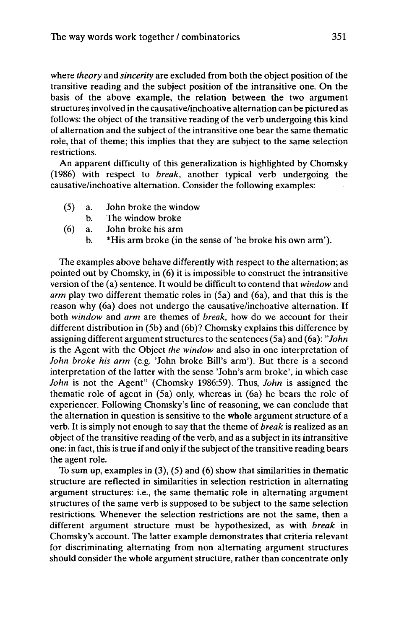where *theory* and *sincerity aie* excluded from both the object position of the transitive reading and the subject position of the intransitive one. On the basis of the above example, the relation between the two argument structures involved in the causative/inchoative alternation can be pictured as follows: the object of the transitive reading of the verb undergoing this kind of alternation and the subject of the intransitive one bear the same thematic role, that of theme; this implies that they are subject to the same selection restrictions.

An apparent difficulty of this generalization is highlighted by Chomsky (1986) with respect to *break,* another typical verb undergoing the causative/inchoative alternation. Consider the following examples:

- (5) a. John broke the window
	- b. The window broke
- (6) a. John broke his arm
	- b. \*His arm broke (in the sense of 'he broke his own arm').

The examples above behave differently with respect to the alternation; as pointed out by Chomsky, in (6) it is impossible to construct the intransitive version of the (a) sentence. It would be difficult to contend that *window* and *arm* play two different thematic roles in (5a) and (6a), and that this is the reason why (6a) does not undergo the causative/inchoative alternation. If both *window* and *arm* are themes of *break,* how do we account for their different distribution in (5b) and (6b)? Chomsky explains this difference by assigning different argument structures to the sentences (5a) and (6a): *"John* is the Agent with the Object *the window* and also in one interpretation of *John broke his arm* (e.g. 'John broke Bill's arm'). But there is a second interpretation of the latter with the sense 'John's arm broke', in which case *John* is not the Agent" (Chomsky 1986:59). Thus, *John* is assigned the thematic role of agent in (5a) only, whereas in (6a) he bears the role of experiencer. Following Chomsky's line of reasoning, we can conclude that the alternation in question is sensitive to the whole argument structure of a verb. It is simply not enough to say that the theme of *break* is realized as an object of the transitive reading of the verb, and as a subjectin its intransitive one: in fact, this is true if and only if the subject of the transitive reading bears the agent role.

To sum up, examples in (3), (5) and (6) show that similarities in thematic structure are reflected in similarities in selection restriction in alternating argument structures: i.e., the same thematic role in alternating argument structures of the same verb is supposed to be subject to the same selection restrictions. Whenever the selection restrictions are not the same, then a different argument structure must be hypothesized, as with *break* in Chomsky's account. The latter example demonstrates that criteria relevant for discriminating alternating from non alternating argument structures should consider the whole argument structure, rather than concentrate only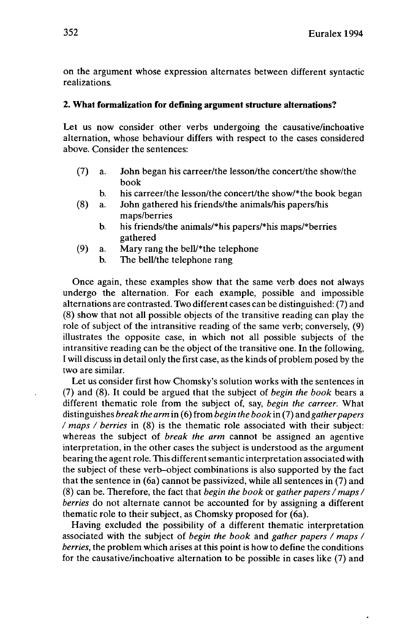on the argument whose expression alternates between different syntactic realizations.

# **2. What formalization for defining argument structure alternations?**

Let us now consider other verbs undergoing the causative/inchoative alternation, whose behaviour differs with respect to the cases considered above. Consider the sentences:

- (7) a. John began his carreer/the lesson/the concert/the show/the book
	- b. his carreer/the lesson/the concert/the show/\*the book began
- (8) a. John gathered his friends/the animals/his papers/his maps/berries
	- b. his friends/the animals/\*his papers/\*his maps/\*berries gathered
- (9) a. Mary rang the bell/\*the telephone
	- b. The bell/the telephone rang

Once again, these examples show that the same verb does not always undergo the alternation. For each example, possible and impossible alternations are contrasted. Two different cases can be distinguished: (7) and (8) show that not all possible objects of the transitive reading can play the role of subject of the intransitive reading of the same verb; conversely, (9) illustrates the opposite case, in which not all possible subjects of the intransitive reading can be the object of the transitive one. In the following, I will discuss in detail only the first case, as the kinds of problem posed by the two are similar.

Let us consider first how Chomsky's solution works with the sentences in (7) and (8). It could be argued that the subject of *begin the book* bears a different thematic role from the subject of, say, *begin the carreer.* What distinguishes *break the arm* in (6) from *begin the book* in (7) and *gatherpapers / maps / berries* in (8) is the thematic role associated with their subject: whereas the subject of *break the arm* cannot be assigned an agentive interpretation, in the other cases the subject is understood as the argument bearing the agent role. This differentsemantic interpretation associated with the subject of these verb-object combinations is also supported by the fact that the sentence in (6a) cannot be passivized, while all sentences in (7) and (8) can be. Therefore, the fact that *begin the book* or *gather papers /maps/ berries* do not alternate cannot be accounted for by assigning a different thematic role to their subject, as Chomsky proposed for (6a).

Having excluded the possibility of a different thematic interpretation associated with the subject of *begin the book* and *gather papers / maps / berries,* the problem which arises at this point is how to define the conditions for the causative/inchoative alternation to be possible in cases like (7) and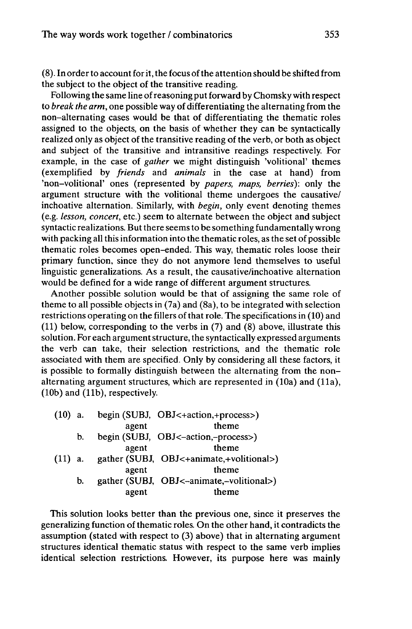(8). In orderto account for it, the focus ofthe attention should be shifted from the subject to the object of the transitive reading.

Following the same line ofreasoning put forward by Chomsky with respect to *break the arm,* one possible way of differentiating the alternating from the non-alternating cases would be that of differentiating the thematic roles assigned to the objects, on the basis of whether they can be syntactically realized only as object of the transitive reading of the verb, or both as object and subject of the transitive and intransitive readings respectively. For example, in the case of *gather* we might distinguish 'volitional' themes (exemplified by *friends* and *animals* in the case at hand) from 'non-volitional' ones (represented by *papers, maps, berries):* only the argument structure with the volitional theme undergoes the causative/ inchoative alternation. Similarly, with *begin,* only event denoting themes (e.g. *lesson, concert,* etc.) seem to alternate between the object and subject syntactic realizations. But there seems to be something fundamentally wrong with packing all this information into the thematic roles, as the set of possible thematic roles becomes open-ended. This way, thematic roles loose their primary function, since they do not anymore lend themselves to useful linguistic generalizations. As a result, the causative/inchoative alternation would be defined for a wide range of different argument structures.

Another possible solution would be that of assigning the same role of theme to all possible objects in (7a) and (8a), to be integrated with selection restrictions operating on the fillers of that role. The specifications in (10) and (11) below, corresponding to the verbs in (7) and (8) above, illustrate this solution. For each argument structure, the syntactically expressed arguments the verb can take, their selection restrictions, and the thematic role associated with them are specified. Only by considering all these factors, it is possible to formally distinguish between the alternating from the nonalternating argument structures, which are represented in (10a) and (11a),  $(10b)$  and  $(11b)$ , respectively.

| $(10)$ a. |    |       | begin (SUBJ, OBJ<+action,+process>)      |
|-----------|----|-------|------------------------------------------|
|           |    | agent | theme                                    |
|           | b. |       | begin (SUBJ, OBJ<-action,-process>)      |
|           |    | agent | theme                                    |
| $(11)$ a. |    |       | gather (SUBJ, OBJ<+animate,+volitional>) |
|           |    | agent | theme                                    |
|           | b. |       | gather (SUBJ, OBJ<-animate,-volitional>) |
|           |    | agent | theme                                    |

This solution looks better than the previous one, since it preserves the generalizing function of thematic roles. On the other hand, it contradicts the assumption (stated with respect to (3) above) that in alternating argument structures identical thematic status with respect to the same verb implies identical selection restrictions. However, its purpose here was mainly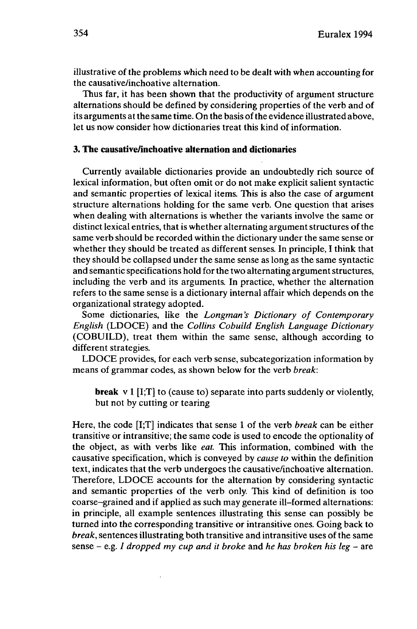illustrative of the problems which need to be dealt with when accounting for the causative/inchoative alternation.

Thus far, it has been shown that the productivity of argument structure alternations should be defined by considering properties of the verb and of its arguments at the same time. On the basis of the evidence illustrated above, let us now consider how dictionaries treat this kind of information.

### **3. The causative/inchoative alternation and dictionaries**

Currently available dictionaries provide an undoubtedly rich source of lexical information, but often omit or do not make explicit salient syntactic and semantic properties of lexical items. This is also the case of argument structure alternations holding for the same verb. One question that arises when dealing with alternations is whether the variants involve the same or distinct lexical entries, that is whether alternating argument structures of the same verb should be recorded within the dictionary under the same sense or whether they should be treated as different senses. In principle, I think that they should be collapsed under the same sense as long as the same syntactic and semantic specifications hold for the two alternating argument structures, including the verb and its arguments. In practice, whether the alternation refers to the same sense is a dictionary internal affair which depends on the organizational strategy adopted.

Some dictionaries, like the *Longman's Dictionary of Contemporary English* (LDOCE) and the *Collins Cobuild English Language Dictionary* (COBUILD), treat them within the same sense, although according to different strategies.

LDOCE provides, for each verb sense, subcategorization information by means of grammar codes, as shown below for the verb *break:*

**break** v <sup>1</sup> [I;T] to (cause to) separate into parts suddenly or violently, but not by cutting or tearing

Here, the code [I;T] indicates that sense <sup>1</sup> of the verb *break* can be either transitive or intransitive; the same code is used to encode the optionality of the object, as with verbs like *eat.* This information, combined with the causative specification, which is conveyed by *cause to* within the definition text, indicates that the verb undergoes the causative/inchoative alternation. Therefore, LDOCE accounts for the alternation by considering syntactic and semantic properties of the verb only. This kind of definition is too coarse-grained and if applied as such may generate ill-formed alternations: in principle, all example sentences illustrating this sense can possibly be turned into the corresponding transitive or intransitive ones. Going back to *break,* sentences illustrating both transitive and intransitive uses of the same sense - e.g. / *dropped my cup and it broke* and *he has broken his leg* - are

 $\ddot{\phantom{a}}$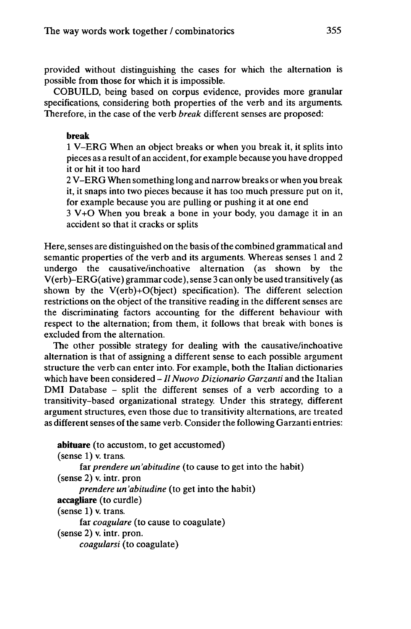provided without distinguishing the cases for which the alternation is possible from those for which it is impossible.

COBUILD, being based on corpus evidence, provides more granular specifications, considering both properties of the verb and its arguments. Therefore, in the case of the verb *break* different senses are proposed:

## **break**

<sup>1</sup> V-ERG When an object breaks or when you break it, it splits into pieces as a result of an accident, for example because you have dropped it or hit it too hard

2 V-ERG When something long and narrow breaks or when you break it, it snaps into two pieces because it has too much pressure put on it, for example because you are pulling or pushing it at one end

3 V+O When you break a bone in your body, you damage it in an accident so that it cracks or splits

Here, senses are distinguished on the basis of the combined grammatical and semantic properties of the verb and its arguments. Whereas senses <sup>1</sup> and 2 undergo the causative/inchoative alternation (as shown by the V(erb)-ERG(ative) grammar code), sense 3 can only be used transitively (as shown by the V(erb)+0(bject) specification). The different selection restrictions on the object of the transitive reading in the different senses are the discriminating factors accounting for the different behaviour with respect to the alternation; from them, it follows that break with bones is excluded from the alternation.

The other possible strategy for dealing with the causative/inchoative alternation is that of assigning a different sense to each possible argument structure the verb can enter into. For example, both the Italian dictionaries which have been considered - *Il Nuovo Dizionario Garzanti* and the Italian DMI Database - split the different senses of <sup>a</sup> verb according to <sup>a</sup> transitivity-based organizational strategy. Under this strategy, different argument structures, even those due to transitivity alternations, are treated as different senses of the same verb. Consider the following Garzanti entries:

**abituare** (to accustom, to get accustomed) (sense 1) v. trans. far *prendere un'abitudine* (to cause to get into the habit) (sense 2) v. intr. pron *prendere un'abitudine* (to get into the habit) **accagliare** (to curdle) (sense 1) v. trans. far *coagulare* (to cause to coagulate) (sense 2) v. intr. pron. *coagularsi* (to coagulate)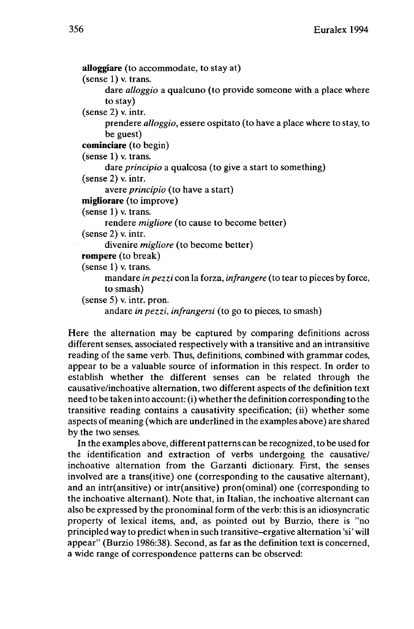```
alioggiare (to accommodate, to stay at)
(sense 1) v. trans.
     dare alloggio a qualcuno (to provide someone with a place where
     to stay)
(sense 2) v. intr.
      prendere alloggio, essere ospitato (to have a place where to stay, to
      be guest)
cominciare (to begin)
(sense 1) v. trans.
     dare principio a qualcosa (to give a start to something)
(sense 2) v. intr.
     avere principio (to have a start)
migliorare (to improve)
(sense 1) v. trans.
     rendere migliore (to cause to become better)
(sense 2) v. intr.
     divenire migliore (to become better)
rompere (to break)
(sense 1) v. trans.
     mandare inpezzi con la forza, infrangere (to tear to pieces by force,
     to smash)
(sense 5) v. intr. pron.
     andare in pezzi, infrangersi (to go to pieces, to smash)
```
Here the alternation may be captured by comparing definitions across different senses, associated respectively with a transitive and an intransitive reading of the same verb. Thus, definitions, combined with grammar codes, appear to be a valuable source of information in this respect. In order to establish whether the different senses can be related through the causative/inchoative alternation, two different aspects of the definition text need to be taken into account: (i) whether the definition corresponding to the transitive reading contains a causativity specification; (ii) whether some aspects of meaning (which are underlined in the examples above) are shared by the two senses.

In the examples above, different patterns can be recognized, to be used for the identification and extraction of verbs undergoing the causative/ inchoative alternation from the Garzanti dictionary. First, the senses involved are a trans(itive) one (corresponding to the causative alternant), and an intr(ansitive) or intr(ansitive) pron(ominal) one (corresponding to the inchoative alternant). Note that, in Italian, the inchoative alternant can also be expressed by the pronominal form of the verb: this is an idiosyncratic property of lexical items, and, as pointed out by Burzio, there is "no principled way to predict when in such transitive-ergative alternation 'si' will appear" (Burzio 1986:38). Second, as far as the definition text is concerned, a wide range of correspondence patterns can be observed: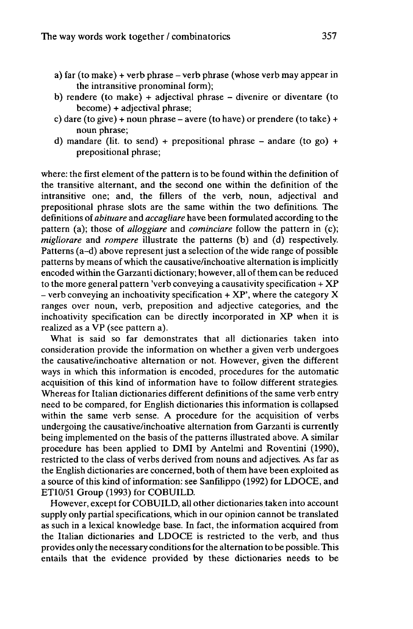- a) far (to make) <sup>+</sup> verb phrase verb phrase (whose verb may appear in the intransitive pronominal form);
- b) rendere (to make) + adjectival phrase  $-$  divenire or diventare (to become) + adjectival phrase;
- c) dare (to give) + noun phrase avere (to have) or prendere (to take) + noun phrase;
- d) mandare (lit. to send) + prepositional phrase  $-$  andare (to go) + prepositional phrase;

where: the first element of the pattern is to be found within the definition of the transitive alternant, and the second one within the definition of the intransitive one; and, the fillers of the verb, noun, adjectival and prepositional phrase slots are the same within the two definitions. The definitions of *abituare* and *accagliare* have been formulated according to the pattern (a); those of *alloggiare* and *cominciare* follow the pattern in (c); *migliorare* and *rompere* illustrate the patterns (b) and (d) respectively. Patterns (a-d) above represent just a selection of the wide range of possible patterns by means of which the causative/inchoative alternation is implicitly encoded within the Garzanti dictionary; however, all of them can be reduced to the more general pattern 'verb conveying a causativity specification  $+ XP$ - verb conveying an inchoativity specification  $+ XP$ , where the category X ranges over noun, verb, preposition and adjective categories, and the inchoativity specification can be directly incorporated in XP when it is realized as a VP (see pattern a).

What is said so far demonstrates that all dictionaries taken into consideration provide the information on whether a given verb undergoes the causative/inchoative alternation or not. However, given the different ways in which this information is encoded, procedures for the automatic acquisition of this kind of information have to follow different strategies. Whereas for Italian dictionaries different definitions of the same verb entry need to be compared, for English dictionaries this information is collapsed within the same verb sense. A procedure for the acquisition of verbs undergoing the causative/inchoative alternation from Garzanti is currently being implemented on the basis of the patterns illustrated above. A similar procedure has been applied to DMI by Antelmi and Roventini (1990), restricted to the class of verbs derived from nouns and adjectives. As far as the English dictionaries are concerned, both of them have been exploited as a source of this kind of information: see Sanfilippo (1992) for LDOCE, and ET10/51 Group (1993) for COBUILD.

However, except for COBUILD, all other dictionaries taken into account supply only partial specifications, which in our opinion cannot be translated as such in a lexical knowledge base. In fact, the information acquired from the Italian dictionaries and LDOCE is restricted to the verb, and thus provides only the necessary conditionsfor the alternation to be possible. This entails that the evidence provided by these dictionaries needs to be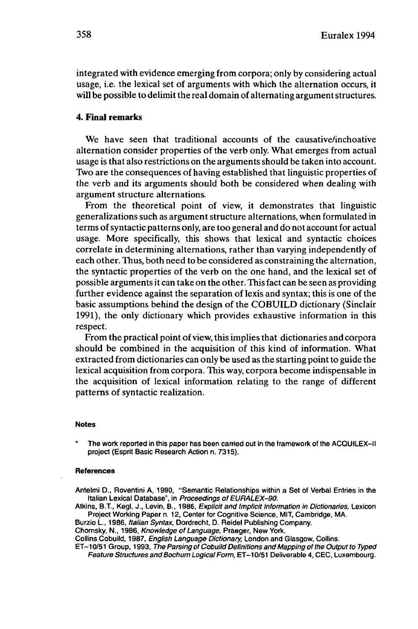integrated with evidence emerging from corpora; only by considering actual usage, i.e. the lexical set of arguments with which the alternation occurs, it will be possible to delimit the real domain of alternating argument structures.

#### **4. Final remarks**

We have seen that traditional accounts of the causative/inchoative alternation consider properties of the verb only. What emerges from actual usage is that also restrictions on the arguments should be taken into account. Two are the consequences of having established that linguistic properties of the verb and its arguments should both be considered when dealing with argument structure alternations.

From the theoretical point of view, it demonstrates that linguistic generalizations such as argument structure alternations, when formulated in terms ofsyntactic patterns only, are too general and do not account for actual usage. More specifically, this shows that lexical and syntactic choices correlate in determining alternations, rather than varying independently of each other. Thus, both need to be considered as constraining the alternation, the syntactic properties of the verb on the one hand, and the lexical set of possible arguments it can take on the other. Thisfact can be seen as providing further evidence against the separation of lexis and syntax; this is one of the basic assumptions behind the design of the COBUILD dictionary (Sinclair 1991), the only dictionary which provides exhaustive information in this respect.

From the practical point of view, this implies that dictionaries and corpora should be combined in the acquisition of this kind of information. What extracted from dictionaries can only be used as the starting point to guide the lexical acquisition from corpora. This way, corpora become indispensable in the acquisition of lexical information relating to the range of different patterns of syntactic realization.

#### **Notes**

The work reported in this paper has been carried out in the framework of the ACQUILEX-II project (Esprit Basic Research Action n. 7315).

#### **References**

Antelmi D., Roventini A, 1990, "Semantic Relationships within a Set of Verbal Entries in the Italian Lexical Database", in Proceedings of EURALEX-90.

Atkins, B.T., Kegl, J., Levin, B., 1986, Explicit and Implicit Information in Dictionaries, Lexicon Project Working Paper n. 12, Center for Cognitive Science, MIT, Cambridge, MA.

Burzio L, 1986, Italian Syntax, Dordrecht, D. Reidel Publishing Company.

Chomsky, N., 1986, Knowledge of Language, Praeger, New York.

Collins Cobuild, 1987, English Language Dictionary, London and Glasgow, Collins.

ET-10/51 Group, 1993, The Parsing of Cobuild Definitions and Mapping of the Output to Typed Feature Structures and Bochum Logical Form, ET-10/51 Deliverable 4, CEC, Luxembourg.